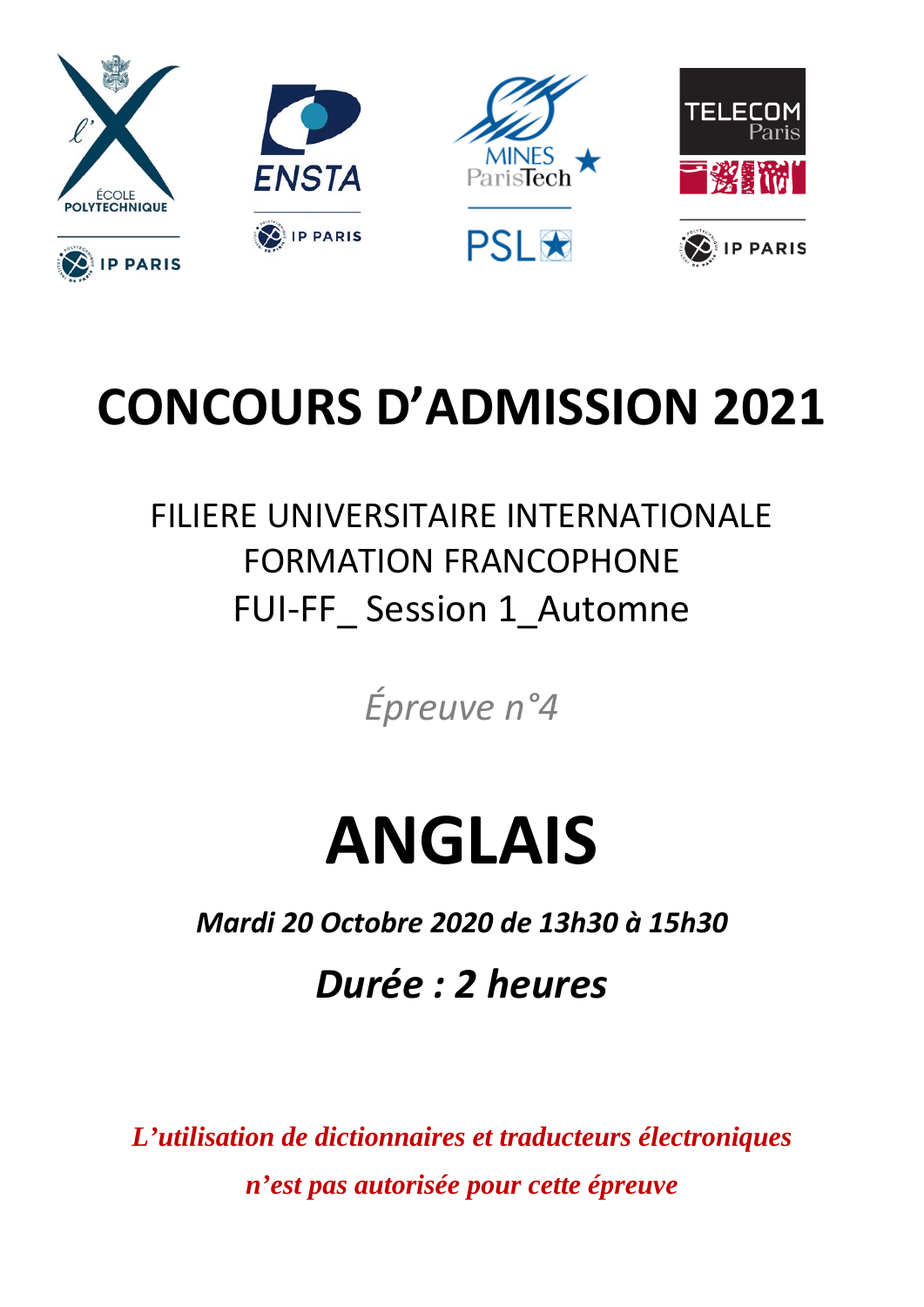

## **CONCOURS D'ADMISSION 2021**

### FILIERE UNIVERSITAIRE INTERNATIONALE FORMATION FRANCOPHONE FUI-FF Session 1 Automne

*Épreuve n°4*

# **ANGLAIS**

*Mardi 20 Octobre 2020 de 13h30 à 15h30*

*Durée : 2 heures*

*L'utilisation de dictionnaires et traducteurs électroniques n'est pas autorisée pour cette épreuve*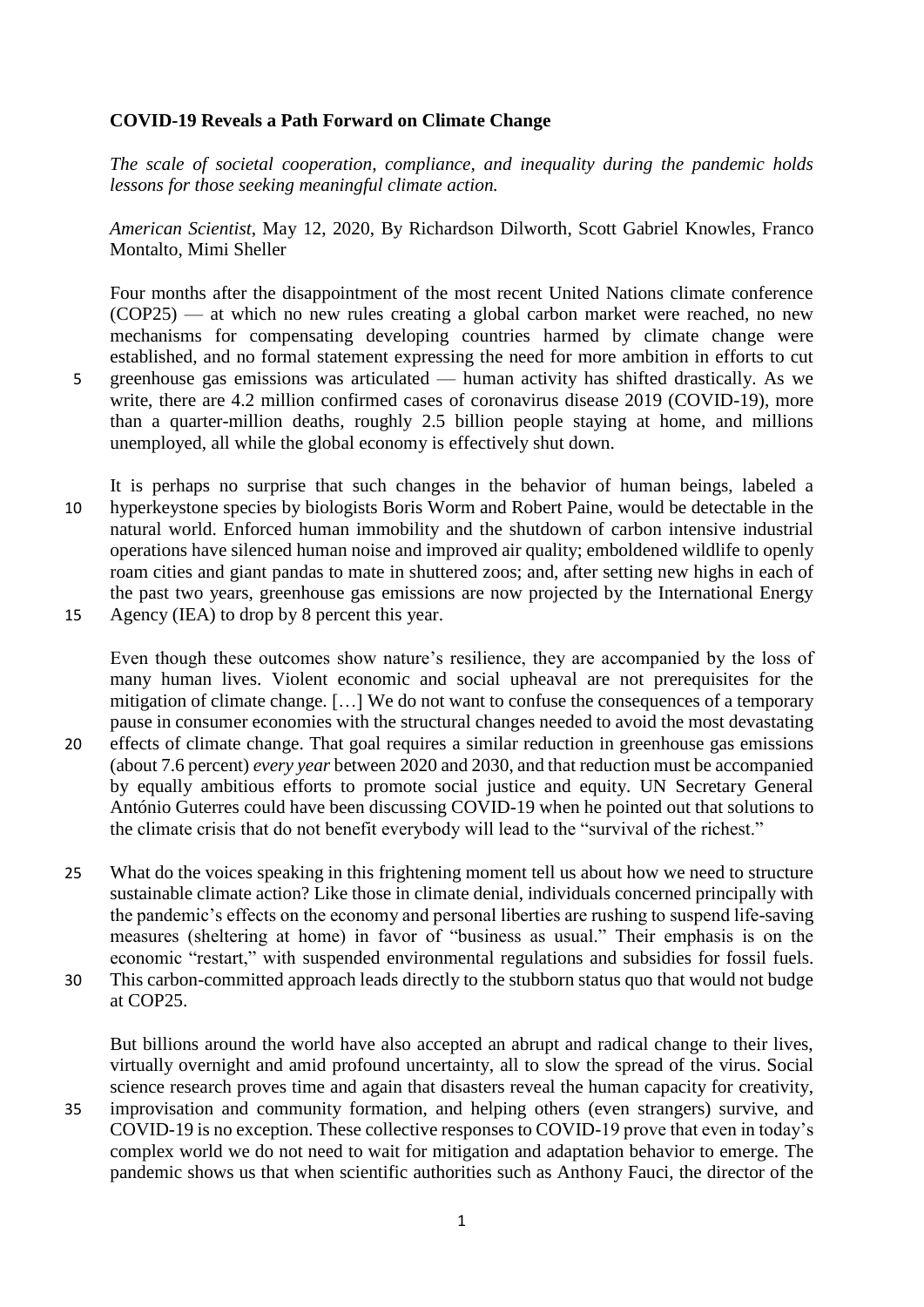#### **COVID-19 Reveals a Path Forward on Climate Change**

*The scale of societal cooperation, compliance, and inequality during the pandemic holds lessons for those seeking meaningful climate action.*

*American Scientist*, May 12, 2020, By [Richardson Dilworth,](https://www.americanscientist.org/author/richardson_dilworth) [Scott Gabriel Knowles,](https://www.americanscientist.org/author/scott_gabriel_knowles) [Franco](https://www.americanscientist.org/author/franco_montalto)  [Montalto,](https://www.americanscientist.org/author/franco_montalto) [Mimi Sheller](https://www.americanscientist.org/author/mimi_sheller)

Four months after the disappointment of the most recent United Nations climate conference (COP25) — at which no new rules creating a global carbon market were reached, no new mechanisms for compensating developing countries harmed by climate change were established, and no formal statement expressing the need for more ambition in efforts to cut 5 greenhouse gas emissions was articulated — human activity has shifted drastically. As we write, there are 4.2 million confirmed cases of coronavirus disease 2019 (COVID-19), more than a quarter-million deaths, roughly 2.5 billion people staying at home, and millions unemployed, all while the global economy is effectively shut down.

- It is perhaps no surprise that such changes in the behavior of human beings, labeled a 10 hyperkeystone species by biologists Boris Worm and Robert Paine, would be detectable in the natural world. Enforced human immobility and the shutdown of carbon intensive industrial operations have silenced human noise and improved air quality; emboldened wildlife to openly roam cities and giant pandas to mate in shuttered zoos; and, after setting new highs in each of the past two years, greenhouse gas emissions are now projected by the International Energy 15 Agency (IEA) to drop by 8 percent this year.
- Even though these outcomes show nature's resilience, they are accompanied by the loss of many human lives. Violent economic and social upheaval are not prerequisites for the mitigation of climate change. […] We do not want to confuse the consequences of a temporary pause in consumer economies with the structural changes needed to avoid the most devastating 20 effects of climate change. That goal requires a similar reduction in greenhouse gas emissions (about 7.6 percent) *every year* between 2020 and 2030, and that reduction must be accompanied by equally ambitious efforts to promote social justice and equity. UN Secretary General António Guterres could have been discussing COVID-19 when he pointed out that solutions to the climate crisis that do not benefit everybody will lead to the "survival of the richest."
- 25 What do the voices speaking in this frightening moment tell us about how we need to structure sustainable climate action? Like those in climate denial, individuals concerned principally with the pandemic's effects on the economy and personal liberties are rushing to suspend life-saving measures (sheltering at home) in favor of "business as usual." Their emphasis is on the economic "restart," with suspended environmental regulations and subsidies for fossil fuels. 30 This carbon-committed approach leads directly to the stubborn status quo that would not budge
- at COP25.

But billions around the world have also accepted an abrupt and radical change to their lives, virtually overnight and amid profound uncertainty, all to slow the spread of the virus. Social science research proves time and again that disasters reveal the human capacity for creativity, 35 improvisation and community formation, and helping others (even strangers) survive, and COVID-19 is no exception. These collective responses to COVID-19 prove that even in today's complex world we do not need to wait for mitigation and adaptation behavior to emerge. The

pandemic shows us that when scientific authorities such as Anthony Fauci, the director of the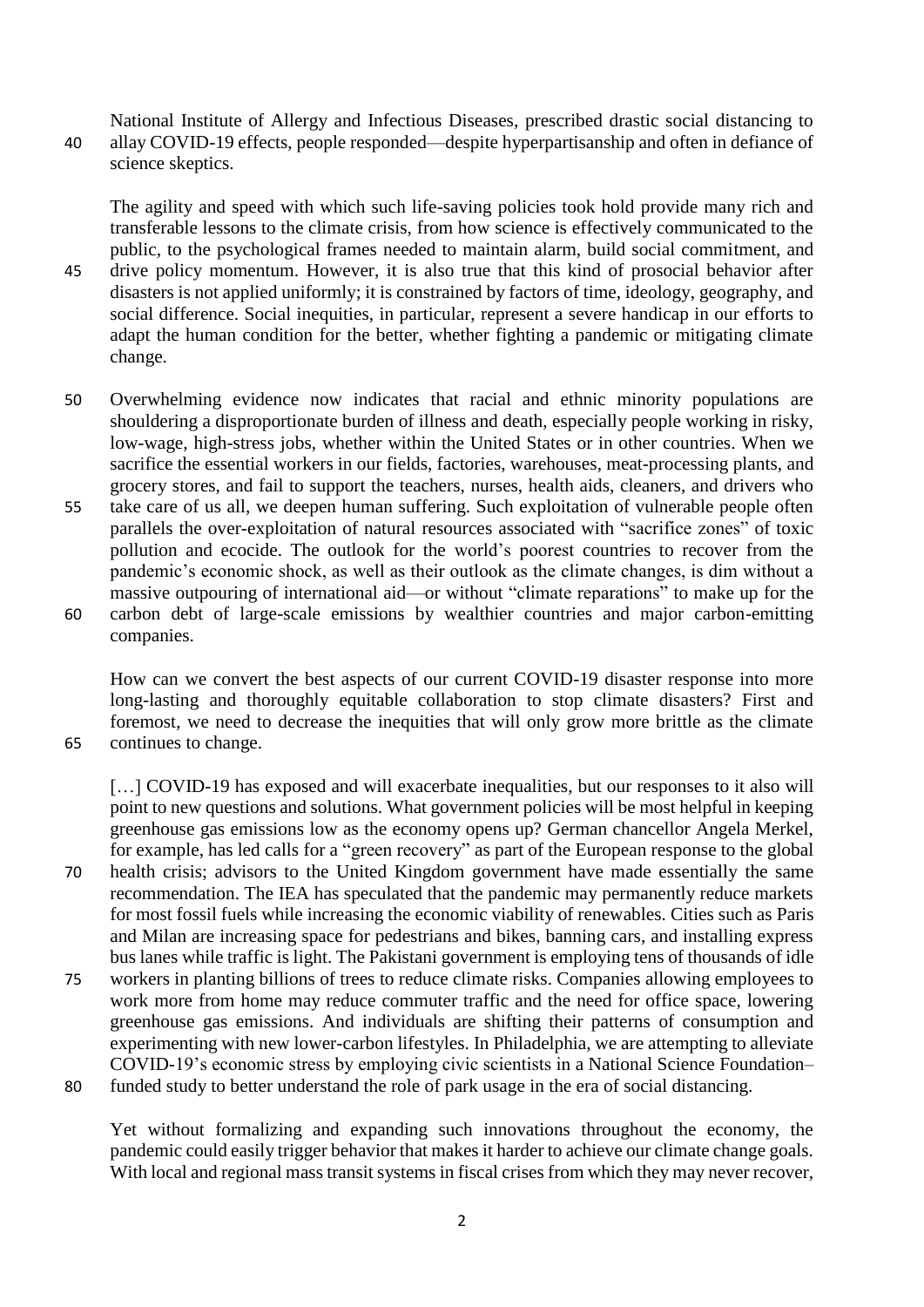National Institute of Allergy and Infectious Diseases, prescribed drastic social distancing to 40 allay COVID-19 effects, people responded—despite hyperpartisanship and often in defiance of science skeptics.

The agility and speed with which such life-saving policies took hold provide many rich and transferable lessons to the climate crisis, from how science is effectively communicated to the public, to the psychological frames needed to maintain alarm, build social commitment, and

- 45 drive policy momentum. However, it is also true that this kind of prosocial behavior after disasters is not applied uniformly; it is constrained by factors of time, ideology, geography, and social difference. Social inequities, in particular, represent a severe handicap in our efforts to adapt the human condition for the better, whether fighting a pandemic or mitigating climate change.
- 50 Overwhelming evidence now indicates that racial and ethnic minority populations are shouldering a disproportionate burden of illness and death, especially people working in risky, low-wage, high-stress jobs, whether within the United States or in other countries. When we sacrifice the essential workers in our fields, factories, warehouses, meat-processing plants, and grocery stores, and fail to support the teachers, nurses, health aids, cleaners, and drivers who
- 55 take care of us all, we deepen human suffering. Such exploitation of vulnerable people often parallels the over-exploitation of natural resources associated with "sacrifice zones" of toxic pollution and ecocide. The outlook for the world's poorest countries to recover from the pandemic's economic shock, as well as their outlook as the climate changes, is dim without a massive outpouring of international aid—or without "climate reparations" to make up for the
- 60 carbon debt of large-scale emissions by wealthier countries and major carbon-emitting companies.

How can we convert the best aspects of our current COVID-19 disaster response into more long-lasting and thoroughly equitable collaboration to stop climate disasters? First and foremost, we need to decrease the inequities that will only grow more brittle as the climate 65 continues to change.

[...] COVID-19 has exposed and will exacerbate inequalities, but our responses to it also will point to new questions and solutions. What government policies will be most helpful in keeping greenhouse gas emissions low as the economy opens up? German chancellor Angela Merkel, for example, has led calls for a "green recovery" as part of the European response to the global 70 health crisis; advisors to the United Kingdom government have made essentially the same recommendation. The IEA has speculated that the pandemic may permanently reduce markets for most fossil fuels while increasing the economic viability of renewables. Cities such as Paris and Milan are increasing space for pedestrians and bikes, banning cars, and installing express bus lanes while traffic is light. The Pakistani government is employing tens of thousands of idle 75 workers in planting billions of trees to reduce climate risks. Companies allowing employees to work more from home may reduce commuter traffic and the need for office space, lowering greenhouse gas emissions. And individuals are shifting their patterns of consumption and experimenting with new lower-carbon lifestyles. In Philadelphia, we are attempting to alleviate COVID-19's economic stress by employing civic scientists in a National Science Foundation–

80 funded study to better understand the role of park usage in the era of social distancing.

Yet without formalizing and expanding such innovations throughout the economy, the pandemic could easily trigger behavior that makes it harder to achieve our climate change goals. With local and regional mass transit systems in fiscal crises from which they may never recover,